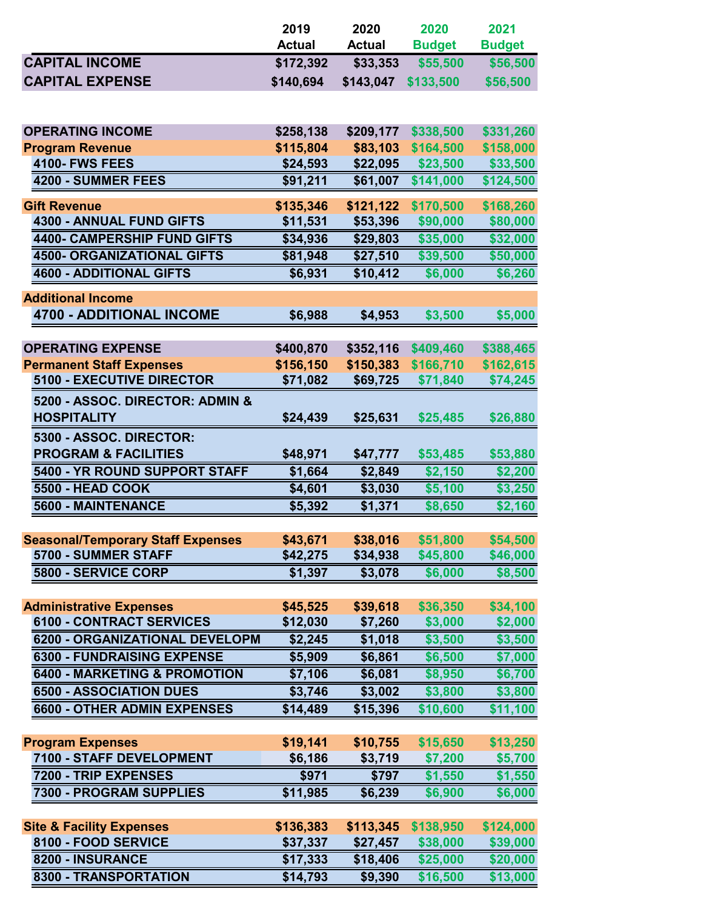|                                                                     | 2019<br><b>Actual</b> | 2020<br><b>Actual</b> | 2020                      | 2021                      |
|---------------------------------------------------------------------|-----------------------|-----------------------|---------------------------|---------------------------|
| <b>CAPITAL INCOME</b>                                               | \$172,392             | \$33,353              | <b>Budget</b><br>\$55,500 | <b>Budget</b><br>\$56,500 |
| <b>CAPITAL EXPENSE</b>                                              | \$140,694             | \$143,047             | \$133,500                 | \$56,500                  |
|                                                                     |                       |                       |                           |                           |
|                                                                     |                       |                       |                           |                           |
| <b>OPERATING INCOME</b>                                             | \$258,138             | \$209,177             | \$338,500                 | \$331,260                 |
| <b>Program Revenue</b>                                              | \$115,804             | \$83,103              | \$164,500                 | \$158,000                 |
| <b>4100- FWS FEES</b>                                               | \$24,593              | \$22,095              | \$23,500                  | \$33,500                  |
| <b>4200 - SUMMER FEES</b>                                           | \$91,211              | \$61,007              | \$141,000                 | \$124,500                 |
| <b>Gift Revenue</b>                                                 | \$135,346             | \$121,122             | \$170,500                 | \$168,260                 |
| <b>4300 - ANNUAL FUND GIFTS</b>                                     | \$11,531              | \$53,396              | \$90,000                  | \$80,000                  |
| <b>4400- CAMPERSHIP FUND GIFTS</b>                                  | \$34,936              | \$29,803              | \$35,000                  | \$32,000                  |
| <b>4500- ORGANIZATIONAL GIFTS</b>                                   | \$81,948              | \$27,510              | \$39,500                  | \$50,000                  |
| <b>4600 - ADDITIONAL GIFTS</b>                                      | \$6,931               | \$10,412              | \$6,000                   | \$6,260                   |
| <b>Additional Income</b>                                            |                       |                       |                           |                           |
| <b>4700 - ADDITIONAL INCOME</b>                                     | \$6,988               | \$4,953               | \$3,500                   | \$5,000                   |
|                                                                     |                       |                       |                           |                           |
| <b>OPERATING EXPENSE</b>                                            | \$400,870             | \$352,116             | \$409,460                 | \$388,465                 |
| <b>Permanent Staff Expenses</b>                                     | \$156,150             | \$150,383             | \$166,710                 | \$162,615                 |
| <b>5100 - EXECUTIVE DIRECTOR</b>                                    | \$71,082              | \$69,725              | \$71,840                  | \$74,245                  |
| 5200 - ASSOC. DIRECTOR: ADMIN &                                     |                       |                       |                           |                           |
| <b>HOSPITALITY</b>                                                  | \$24,439              | \$25,631              | \$25,485                  | \$26,880                  |
| 5300 - ASSOC. DIRECTOR:                                             |                       |                       |                           |                           |
| <b>PROGRAM &amp; FACILITIES</b>                                     | \$48,971              | \$47,777              | \$53,485                  | \$53,880                  |
| 5400 - YR ROUND SUPPORT STAFF                                       | \$1,664               | \$2,849               | \$2,150                   | \$2,200                   |
| 5500 - HEAD COOK                                                    | \$4,601               | \$3,030               | \$5,100                   | \$3,250                   |
| <b>5600 - MAINTENANCE</b>                                           | \$5,392               | \$1,371               | \$8,650                   | \$2,160                   |
|                                                                     |                       |                       |                           |                           |
| <b>Seasonal/Temporary Staff Expenses</b>                            | \$43,671              | \$38,016              | \$51,800                  | \$54,500                  |
| 5700 - SUMMER STAFF                                                 | \$42,275              | \$34,938              | \$45,800                  | \$46,000                  |
| 5800 - SERVICE CORP                                                 | \$1,397               | \$3,078               | \$6,000                   | \$8,500                   |
|                                                                     |                       |                       |                           |                           |
| <b>Administrative Expenses</b>                                      | \$45,525              | \$39,618              | \$36,350                  | \$34,100                  |
| 6100 - CONTRACT SERVICES                                            | \$12,030              | \$7,260               | \$3,000                   | \$2,000                   |
| 6200 - ORGANIZATIONAL DEVELOPM<br><b>6300 - FUNDRAISING EXPENSE</b> | \$2,245               | \$1,018<br>\$6,861    | \$3,500<br>\$6,500        | \$3,500                   |
| <b>6400 - MARKETING &amp; PROMOTION</b>                             | \$5,909<br>\$7,106    | \$6,081               | \$8,950                   | \$7,000<br>\$6,700        |
| <b>6500 - ASSOCIATION DUES</b>                                      | \$3,746               | \$3,002               | \$3,800                   | \$3,800                   |
| <b>6600 - OTHER ADMIN EXPENSES</b>                                  | \$14,489              | \$15,396              | \$10,600                  | \$11,100                  |
|                                                                     |                       |                       |                           |                           |
| <b>Program Expenses</b>                                             | \$19,141              | \$10,755              | \$15,650                  | \$13,250                  |
| 7100 - STAFF DEVELOPMENT                                            | \$6,186               | \$3,719               | \$7,200                   | \$5,700                   |
| 7200 - TRIP EXPENSES                                                | \$971                 | \$797                 | \$1,550                   | \$1,550                   |
| 7300 - PROGRAM SUPPLIES                                             | \$11,985              | \$6,239               | \$6,900                   | \$6,000                   |
|                                                                     |                       |                       |                           |                           |
| <b>Site &amp; Facility Expenses</b>                                 | \$136,383             | \$113,345             | \$138,950                 | \$124,000                 |
| 8100 - FOOD SERVICE                                                 | \$37,337              | \$27,457              | \$38,000                  | \$39,000                  |
| 8200 - INSURANCE                                                    | \$17,333              | \$18,406              | \$25,000                  | \$20,000                  |
| 8300 - TRANSPORTATION                                               | \$14,793              | \$9,390               | \$16,500                  | \$13,000                  |